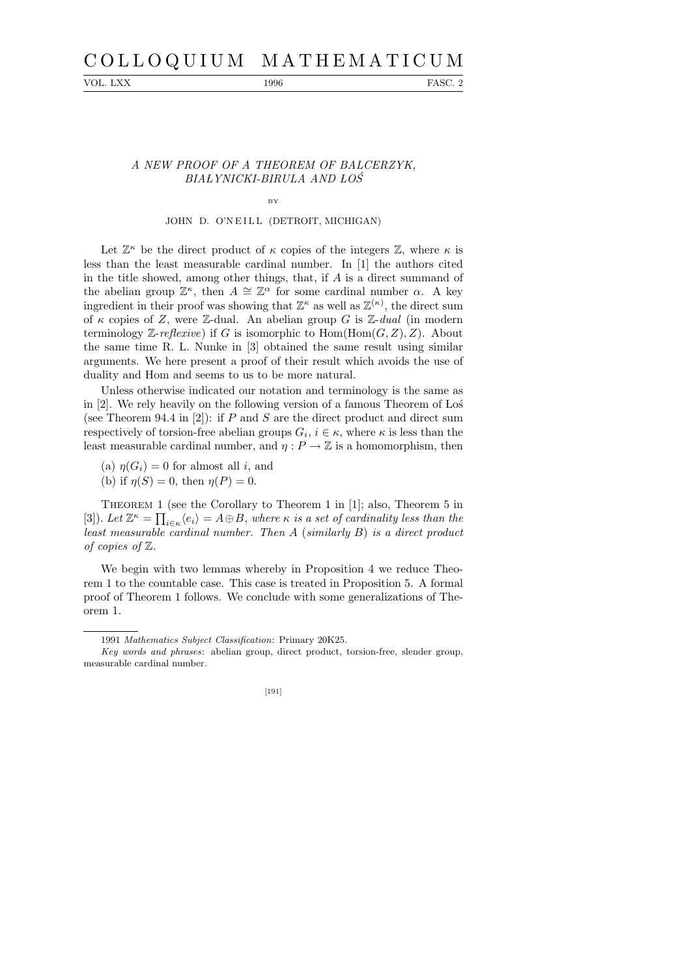# C O L L O Q U I U M M A T H E M A T I C U M

VOL. LXX 1996 FASC. 2

### A NEW PROOF OF A THEOREM OF BALCERZYK, BIALYNICKI-BIRULA AND LOS

## BY JOHN D. O'N EILL (DETROIT, MICHIGAN)

Let  $\mathbb{Z}^{\kappa}$  be the direct product of  $\kappa$  copies of the integers  $\mathbb{Z}$ , where  $\kappa$  is less than the least measurable cardinal number. In [1] the authors cited in the title showed, among other things, that, if A is a direct summand of the abelian group  $\mathbb{Z}^{\kappa}$ , then  $A \cong \mathbb{Z}^{\alpha}$  for some cardinal number  $\alpha$ . A key ingredient in their proof was showing that  $\mathbb{Z}^{\kappa}$  as well as  $\mathbb{Z}^{(\kappa)}$ , the direct sum of  $\kappa$  copies of Z, were Z-dual. An abelian group G is Z-dual (in modern terminology Z-reflexive) if G is isomorphic to  $Hom(Hom(G, Z), Z)$ . About the same time R. L. Nunke in [3] obtained the same result using similar arguments. We here present a proof of their result which avoids the use of duality and Hom and seems to us to be more natural.

Unless otherwise indicated our notation and terminology is the same as in  $[2]$ . We rely heavily on the following version of a famous Theorem of Los (see Theorem 94.4 in  $[2]$ ): if P and S are the direct product and direct sum respectively of torsion-free abelian groups  $G_i$ ,  $i \in \kappa$ , where  $\kappa$  is less than the least measurable cardinal number, and  $\eta : P \to \mathbb{Z}$  is a homomorphism, then

- (a)  $\eta(G_i) = 0$  for almost all i, and
- (b) if  $\eta(S) = 0$ , then  $\eta(P) = 0$ .

Theorem 1 (see the Corollary to Theorem 1 in [1]; also, Theorem 5 in [3]). Let  $\mathbb{Z}^{\kappa} = \prod_{i \in \kappa} \langle e_i \rangle = A \oplus B$ , where  $\kappa$  is a set of cardinality less than the least measurable cardinal number. Then A (similarly B) is a direct product of copies of Z.

We begin with two lemmas whereby in Proposition 4 we reduce Theorem 1 to the countable case. This case is treated in Proposition 5. A formal proof of Theorem 1 follows. We conclude with some generalizations of Theorem 1.

*Key words and phrases*: abelian group, direct product, torsion-free, slender group, measurable cardinal number.



<sup>1991</sup> *Mathematics Subject Classification*: Primary 20K25.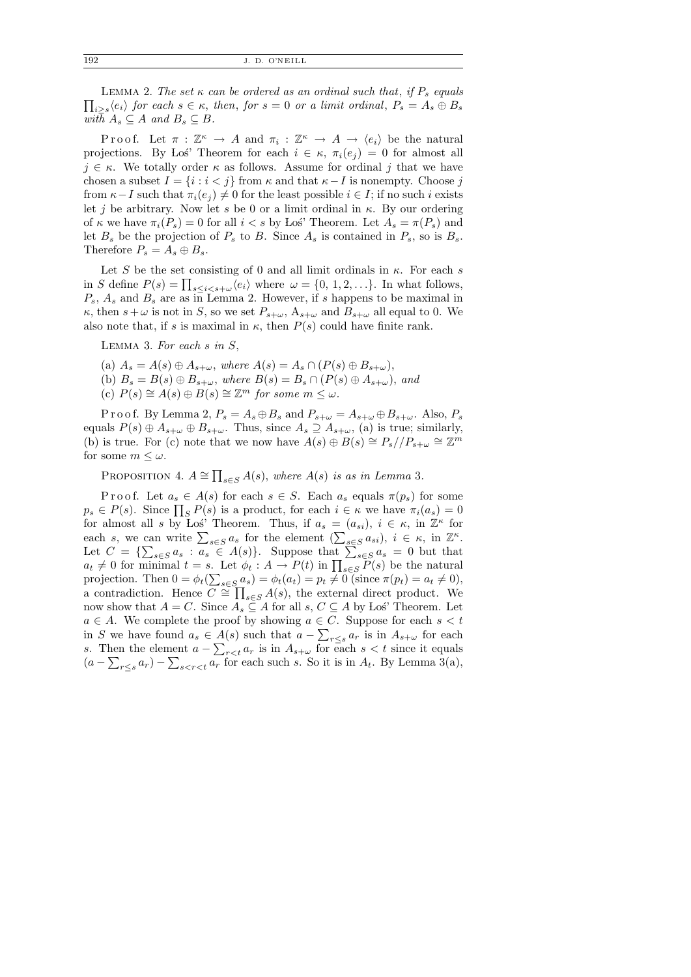192 J. D. O'NEILL

 $\prod_{i\geq s}\langle e_i\rangle$  for each  $s\in\kappa$ , then, for  $s=0$  or a limit ordinal,  $P_s=A_s\oplus B_s$ LEMMA 2. The set  $\kappa$  can be ordered as an ordinal such that, if  $P_s$  equals with  $A_s \subseteq A$  and  $B_s \subseteq B$ .

Proof. Let  $\pi : \mathbb{Z}^{\kappa} \to A$  and  $\pi_i : \mathbb{Z}^{\kappa} \to A \to \langle e_i \rangle$  be the natural projections. By Los' Theorem for each  $i \in \kappa$ ,  $\pi_i(e_i) = 0$  for almost all  $j \in \kappa$ . We totally order  $\kappa$  as follows. Assume for ordinal j that we have chosen a subset  $I = \{i : i < j\}$  from  $\kappa$  and that  $\kappa - I$  is nonempty. Choose j from  $\kappa-I$  such that  $\pi_i(e_i) \neq 0$  for the least possible  $i \in I$ ; if no such i exists let j be arbitrary. Now let s be 0 or a limit ordinal in  $\kappa$ . By our ordering of  $\kappa$  we have  $\pi_i(P_s) = 0$  for all  $i < s$  by Los<sup>'</sup> Theorem. Let  $A_s = \pi(P_s)$  and let  $B_s$  be the projection of  $P_s$  to B. Since  $A_s$  is contained in  $P_s$ , so is  $B_s$ . Therefore  $P_s = A_s \oplus B_s$ .

Let S be the set consisting of 0 and all limit ordinals in  $\kappa$ . For each s in S define  $P(s) = \prod_{s \leq i < s + \omega} \langle e_i \rangle$  where  $\omega = \{0, 1, 2, \ldots\}$ . In what follows,  $P_s$ ,  $A_s$  and  $B_s$  are as in Lemma 2. However, if s happens to be maximal in  $\kappa$ , then  $s+\omega$  is not in S, so we set  $P_{s+\omega}$ ,  $A_{s+\omega}$  and  $B_{s+\omega}$  all equal to 0. We also note that, if s is maximal in  $\kappa$ , then  $P(s)$  could have finite rank.

LEMMA 3. For each  $s$  in  $S$ ,

- (a)  $A_s = A(s) \oplus A_{s+\omega}$ , where  $A(s) = A_s \cap (P(s) \oplus B_{s+\omega})$ ,
- (b)  $B_s = B(s) \oplus B_{s+\omega}$ , where  $B(s) = B_s \cap (P(s) \oplus A_{s+\omega})$ , and
- (c)  $P(s) \cong A(s) \oplus B(s) \cong \mathbb{Z}^m$  for some  $m \leq \omega$ .

P r o o f. By Lemma 2,  $P_s = A_s \oplus B_s$  and  $P_{s+\omega} = A_{s+\omega} \oplus B_{s+\omega}$ . Also,  $P_s$ equals  $P(s) \oplus A_{s+\omega} \oplus B_{s+\omega}$ . Thus, since  $A_s \supseteq A_{s+\omega}$ , (a) is true; similarly, (b) is true. For (c) note that we now have  $A(s) \oplus B(s) \cong P_s//P_{s+\omega} \cong \mathbb{Z}^m$ for some  $m \leq \omega$ .

PROPOSITION 4.  $A \cong \prod_{s \in S} A(s)$ , where  $A(s)$  is as in Lemma 3.

P r o o f. Let  $a_s \in A(s)$  for each  $s \in S$ . Each  $a_s$  equals  $\pi(p_s)$  for some  $p_s \in P(s)$ . Since  $\prod_{S} P(s)$  is a product, for each  $i \in \kappa$  we have  $\pi_i(a_s) = 0$ for almost all s by Los' Theorem. Thus, if  $a_s = (a_{si})$ ,  $i \in \kappa$ , in  $\mathbb{Z}^{\kappa}$  for each s, we can write  $\sum_{s \in S} a_s$  for the element  $(\sum_{s \in S} a_{si}), i \in \kappa$ , in  $\mathbb{Z}^{\kappa}$ . Let  $C = \{\sum_{s \in S} a_s : a_s \in A(s)\}\$ . Suppose that  $\sum_{s \in S} a_s = 0$  but that  $a_t \neq 0$  for minimal  $t = s$ . Let  $\phi_t : A \to P(t)$  in  $\prod_{s \in S} P(s)$  be the natural projection. Then  $0 = \phi_t(\sum_{s \in S} a_s) = \phi_t(a_t) = p_t \neq 0$  (since  $\pi(p_t) = a_t \neq 0$ ), a contradiction. Hence  $\overline{C} \cong \prod_{s \in S} A(s)$ , the external direct product. We now show that  $A = C$ . Since  $A_s \subseteq A$  for all  $s, C \subseteq A$  by Los' Theorem. Let  $a \in A$ . We complete the proof by showing  $a \in C$ . Suppose for each  $s < t$ in S we have found  $a_s \in A(s)$  such that  $a - \sum_{r \leq s} a_r$  is in  $A_{s+\omega}$  for each s. Then the element  $a - \sum_{r < t} a_r$  is in  $A_{s+\omega}$  for each  $s < t$  since it equals  $(a - \sum_{r \leq s} a_r) - \sum_{s < r < t} a_r$  for each such s. So it is in  $A_t$ . By Lemma 3(a),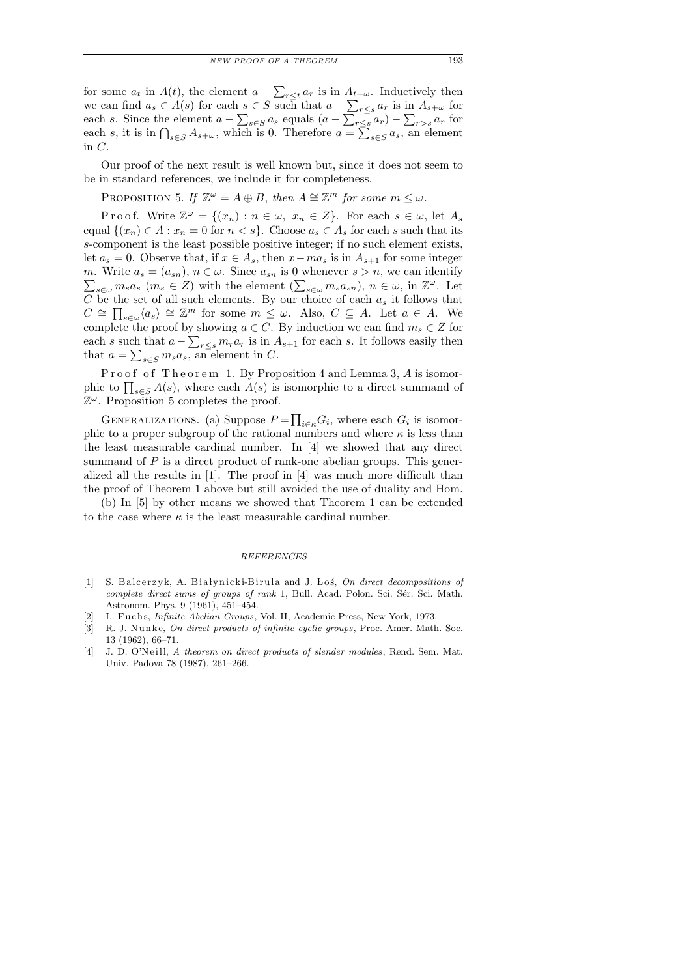for some  $a_t$  in  $A(t)$ , the element  $a - \sum_{r \leq t} a_r$  is in  $A_{t+\omega}$ . Inductively then we can find  $a_s \in A(s)$  for each  $s \in S$  such that  $a - \sum_{r \leq s} a_r$  is in  $A_{s+\omega}$  for each s. Since the element  $a - \sum_{s \in S} a_s$  equals  $(a - \sum_{r \leq s} a_r) - \sum_{r > s} a_r$  for each s, it is in  $\bigcap_{s\in S} A_{s+\omega}$ , which is 0. Therefore  $a=\sum_{s\in S} a_s$ , an element in C.

Our proof of the next result is well known but, since it does not seem to be in standard references, we include it for completeness.

PROPOSITION 5. If  $\mathbb{Z}^{\omega} = A \oplus B$ , then  $A \cong \mathbb{Z}^m$  for some  $m \leq \omega$ .

P r o o f. Write  $\mathbb{Z}^{\omega} = \{(x_n) : n \in \omega, x_n \in Z\}$ . For each  $s \in \omega$ , let  $A_s$ equal  $\{(x_n) \in A : x_n = 0 \text{ for } n < s\}.$  Choose  $a_s \in A_s$  for each s such that its s-component is the least possible positive integer; if no such element exists, let  $a_s = 0$ . Observe that, if  $x \in A_s$ , then  $x - ma_s$  is in  $A_{s+1}$  for some integer m. Write  $a_s = (a_{sn})$ ,  $n \in \omega$ . Since  $a_{sn}$  is 0 whenever  $s > n$ , we can identify  $\sum_{s\in\omega}m_s a_s$   $(m_s \in Z)$  with the element  $(\sum_{s\in\omega}m_s a_{sn})$ ,  $n\in\omega$ , in  $\mathbb{Z}^{\omega}$ . Let  $C$  be the set of all such elements. By our choice of each  $a_s$  it follows that  $C \cong \prod_{s \in \omega} \langle a_s \rangle \cong \mathbb{Z}^m$  for some  $m \leq \omega$ . Also,  $C \subseteq A$ . Let  $a \in A$ . We complete the proof by showing  $a \in C$ . By induction we can find  $m_s \in Z$  for each s such that  $a - \sum_{r \leq s} m_r a_r$  is in  $A_{s+1}$  for each s. It follows easily then that  $a = \sum_{s \in S} m_s a_s$ , an element in C.

Proof of Theorem 1. By Proposition 4 and Lemma 3, A is isomorphic to  $\prod_{s\in S} A(s)$ , where each  $A(s)$  is isomorphic to a direct summand of  $\mathbb{Z}^{\omega}$ . Proposition 5 completes the proof.

GENERALIZATIONS. (a) Suppose  $P = \prod_{i \in \kappa} G_i$ , where each  $G_i$  is isomorphic to a proper subgroup of the rational numbers and where  $\kappa$  is less than the least measurable cardinal number. In [4] we showed that any direct summand of  $P$  is a direct product of rank-one abelian groups. This generalized all the results in [1]. The proof in [4] was much more difficult than the proof of Theorem 1 above but still avoided the use of duality and Hom.

(b) In [5] by other means we showed that Theorem 1 can be extended to the case where  $\kappa$  is the least measurable cardinal number.

#### *REFERENCES*

- [1] S. Balcerzyk, A. Białynicki-Birula and J. Loś, On direct decompositions of *complete direct sums of groups of rank* 1, Bull. Acad. Polon. Sci. Sér. Sci. Math. Astronom. Phys. 9 (1961), 451–454.
- L. Fuchs, *Infinite Abelian Groups*, Vol. II, Academic Press, New York, 1973.
- [3] R. J. Nunke, *On direct products of infinite cyclic groups*, Proc. Amer. Math. Soc. 13 (1962), 66–71.
- [4] J. D. O'N eill, *A theorem on direct products of slender modules*, Rend. Sem. Mat. Univ. Padova 78 (1987), 261–266.